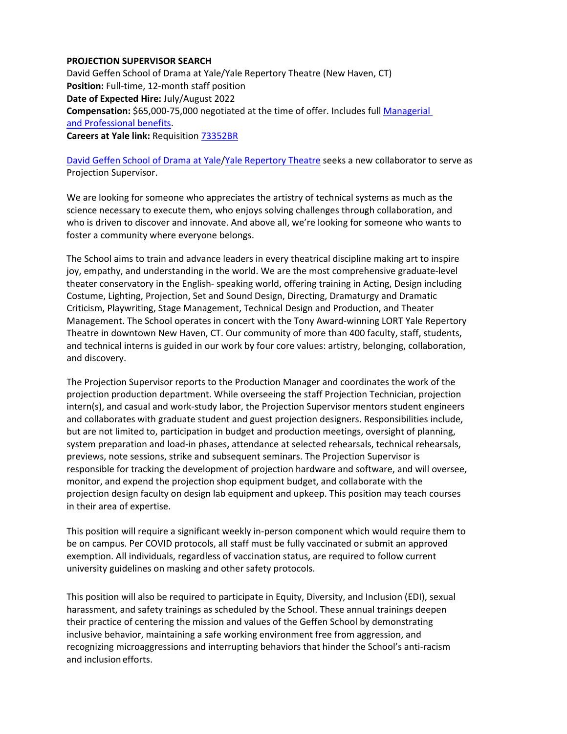## **PROJECTION SUPERVISOR SEARCH**

 David Geffen School of Drama at Yale/Yale Repertory Theatre (New Haven, CT) **Position:** Full‐time, 12‐month staff position  **Date of Expected Hire:** July/August 2022 **Compensation:** \$65,000‐75,000 negotiated at the time of offer. Includes full Managerial and Professional benefits.  **Careers at Yale link:** Requisition 73352BR

David Geffen School of Drama at Yale/Yale Repertory Theatre seeks a new collaborator to serve as Projection Supervisor.

 We are looking for someone who appreciates the artistry of technical systems as much as the science necessary to execute them, who enjoys solving challenges through collaboration, and who is driven to discover and innovate. And above all, we're looking for someone who wants to foster a community where everyone belongs.

 The School aims to train and advance leaders in every theatrical discipline making art to inspire joy, empathy, and understanding in the world. We are the most comprehensive graduate‐level theater conservatory in the English‐ speaking world, offering training in Acting, Design including Costume, Lighting, Projection, Set and Sound Design, Directing, Dramaturgy and Dramatic Criticism, Playwriting, Stage Management, Technical Design and Production, and Theater Management. The School operates in concert with the Tony Award‐winning LORT Yale Repertory Theatre in downtown New Haven, CT. Our community of more than 400 faculty, staff, students, and technical interns is guided in our work by four core values: artistry, belonging, collaboration, and discovery.

 The Projection Supervisor reports to the Production Manager and coordinates the work of the projection production department. While overseeing the staff Projection Technician, projection intern(s), and casual and work‐study labor, the Projection Supervisor mentors student engineers and collaborates with graduate student and guest projection designers. Responsibilities include, but are not limited to, participation in budget and production meetings, oversight of planning, system preparation and load‐in phases, attendance at selected rehearsals, technical rehearsals, previews, note sessions, strike and subsequent seminars. The Projection Supervisor is responsible for tracking the development of projection hardware and software, and will oversee, monitor, and expend the projection shop equipment budget, and collaborate with the projection design faculty on design lab equipment and upkeep. This position may teach courses in their area of expertise.

 This position will require a significant weekly in‐person component which would require them to be on campus. Per COVID protocols, all staff must be fully vaccinated or submit an approved exemption. All individuals, regardless of vaccination status, are required to follow current university guidelines on masking and other safety protocols.

 This position will also be required to participate in Equity, Diversity, and Inclusion (EDI), sexual harassment, and safety trainings as scheduled by the School. These annual trainings deepen their practice of centering the mission and values of the Geffen School by demonstrating inclusive behavior, maintaining a safe working environment free from aggression, and recognizing microaggressions and interrupting behaviors that hinder the School's anti‐racism and inclusion efforts.